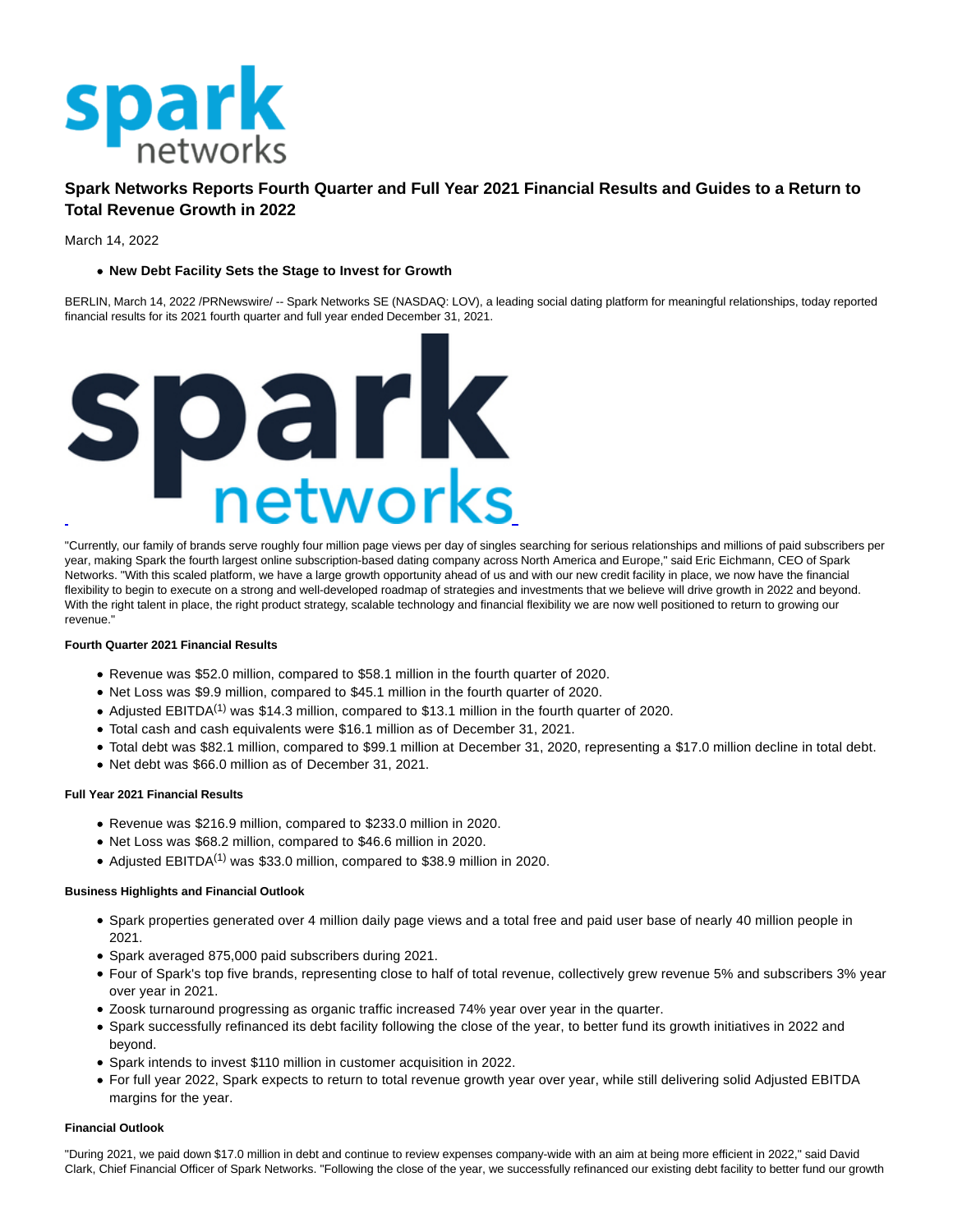

# **Spark Networks Reports Fourth Quarter and Full Year 2021 Financial Results and Guides to a Return to Total Revenue Growth in 2022**

March 14, 2022

# **New Debt Facility Sets the Stage to Invest for Growth**

BERLIN, March 14, 2022 /PRNewswire/ -- Spark Networks SE (NASDAQ: LOV), a leading social dating platform for meaningful relationships, today reported financial results for its 2021 fourth quarter and full year ended December 31, 2021.



"Currently, our family of brands serve roughly four million page views per day of singles searching for serious relationships and millions of paid subscribers per year, making Spark the fourth largest online subscription-based dating company across North America and Europe," said Eric Eichmann, CEO of Spark Networks. "With this scaled platform, we have a large growth opportunity ahead of us and with our new credit facility in place, we now have the financial flexibility to begin to execute on a strong and well-developed roadmap of strategies and investments that we believe will drive growth in 2022 and beyond. With the right talent in place, the right product strategy, scalable technology and financial flexibility we are now well positioned to return to growing our revenue."

## **Fourth Quarter 2021 Financial Results**

- Revenue was \$52.0 million, compared to \$58.1 million in the fourth quarter of 2020.
- Net Loss was \$9.9 million, compared to \$45.1 million in the fourth quarter of 2020.
- Adjusted EBITDA<sup>(1)</sup> was \$14.3 million, compared to \$13.1 million in the fourth quarter of 2020.
- Total cash and cash equivalents were \$16.1 million as of December 31, 2021.
- Total debt was \$82.1 million, compared to \$99.1 million at December 31, 2020, representing a \$17.0 million decline in total debt.
- Net debt was \$66.0 million as of December 31, 2021.

## **Full Year 2021 Financial Results**

- Revenue was \$216.9 million, compared to \$233.0 million in 2020.
- Net Loss was \$68.2 million, compared to \$46.6 million in 2020.
- Adjusted EBITDA(1) was \$33.0 million, compared to \$38.9 million in 2020.

## **Business Highlights and Financial Outlook**

- Spark properties generated over 4 million daily page views and a total free and paid user base of nearly 40 million people in 2021.
- Spark averaged 875,000 paid subscribers during 2021.
- Four of Spark's top five brands, representing close to half of total revenue, collectively grew revenue 5% and subscribers 3% year over year in 2021.
- Zoosk turnaround progressing as organic traffic increased 74% year over year in the quarter.
- Spark successfully refinanced its debt facility following the close of the year, to better fund its growth initiatives in 2022 and beyond.
- Spark intends to invest \$110 million in customer acquisition in 2022.
- For full year 2022, Spark expects to return to total revenue growth year over year, while still delivering solid Adjusted EBITDA margins for the year.

### **Financial Outlook**

"During 2021, we paid down \$17.0 million in debt and continue to review expenses company-wide with an aim at being more efficient in 2022," said David Clark, Chief Financial Officer of Spark Networks. "Following the close of the year, we successfully refinanced our existing debt facility to better fund our growth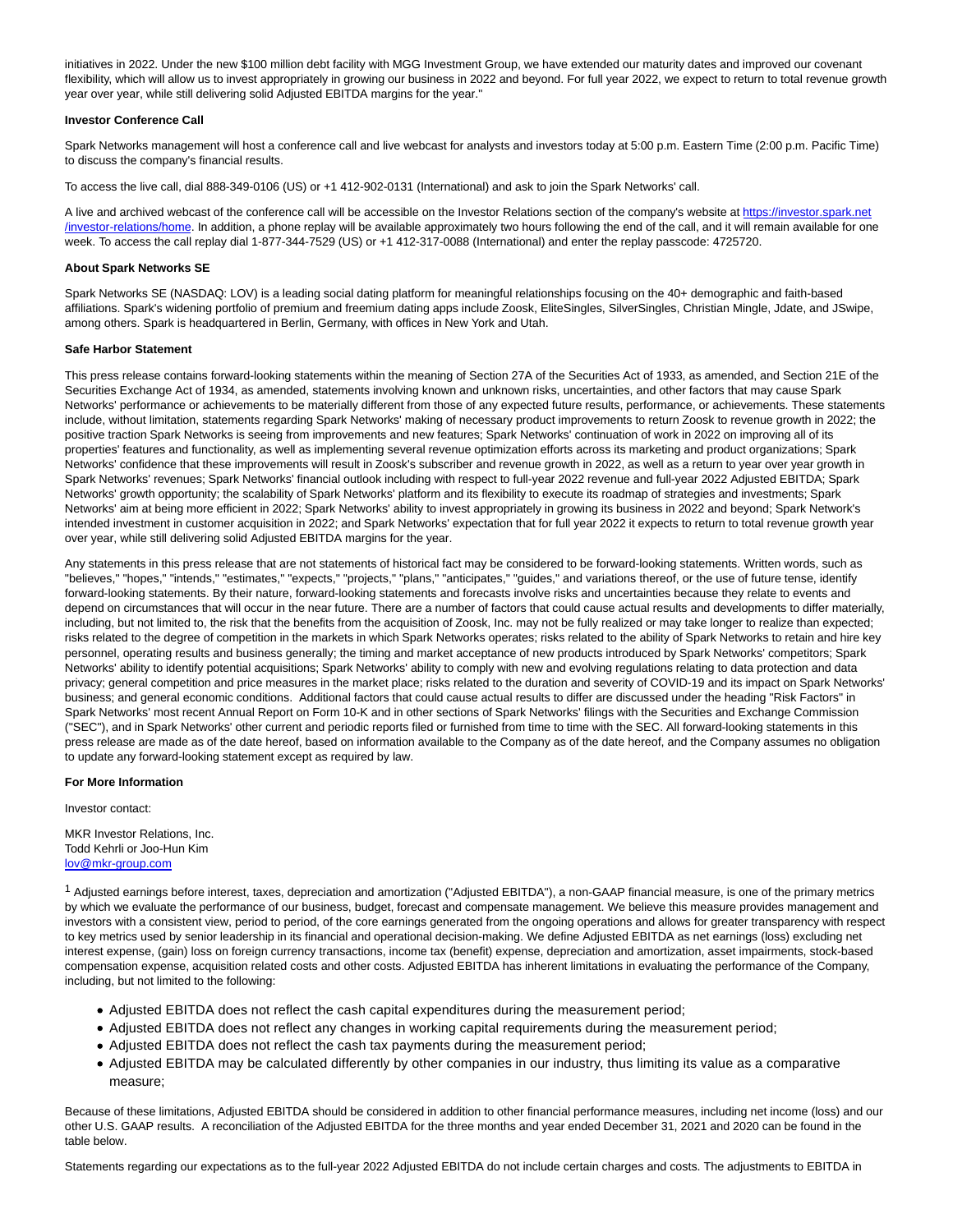initiatives in 2022. Under the new \$100 million debt facility with MGG Investment Group, we have extended our maturity dates and improved our covenant flexibility, which will allow us to invest appropriately in growing our business in 2022 and beyond. For full year 2022, we expect to return to total revenue growth year over year, while still delivering solid Adjusted EBITDA margins for the year."

## **Investor Conference Call**

Spark Networks management will host a conference call and live webcast for analysts and investors today at 5:00 p.m. Eastern Time (2:00 p.m. Pacific Time) to discuss the company's financial results.

To access the live call, dial 888-349-0106 (US) or +1 412-902-0131 (International) and ask to join the Spark Networks' call.

A live and archived webcast of the conference call will be accessible on the Investor Relations section of the company's website a[t https://investor.spark.net](https://c212.net/c/link/?t=0&l=en&o=3472191-1&h=2374273912&u=https%3A%2F%2Finvestor.spark.net%2Finvestor-relations%2Fhome&a=https%3A%2F%2Finvestor.spark.net%2Finvestor-relations%2Fhome) /investor-relations/home. In addition, a phone replay will be available approximately two hours following the end of the call, and it will remain available for one week. To access the call replay dial 1-877-344-7529 (US) or +1 412-317-0088 (International) and enter the replay passcode: 4725720.

#### **About Spark Networks SE**

Spark Networks SE (NASDAQ: LOV) is a leading social dating platform for meaningful relationships focusing on the 40+ demographic and faith-based affiliations. Spark's widening portfolio of premium and freemium dating apps include Zoosk, EliteSingles, SilverSingles, Christian Mingle, Jdate, and JSwipe, among others. Spark is headquartered in Berlin, Germany, with offices in New York and Utah.

#### **Safe Harbor Statement**

This press release contains forward-looking statements within the meaning of Section 27A of the Securities Act of 1933, as amended, and Section 21E of the Securities Exchange Act of 1934, as amended, statements involving known and unknown risks, uncertainties, and other factors that may cause Spark Networks' performance or achievements to be materially different from those of any expected future results, performance, or achievements. These statements include, without limitation, statements regarding Spark Networks' making of necessary product improvements to return Zoosk to revenue growth in 2022; the positive traction Spark Networks is seeing from improvements and new features; Spark Networks' continuation of work in 2022 on improving all of its properties' features and functionality, as well as implementing several revenue optimization efforts across its marketing and product organizations; Spark Networks' confidence that these improvements will result in Zoosk's subscriber and revenue growth in 2022, as well as a return to year over year growth in Spark Networks' revenues; Spark Networks' financial outlook including with respect to full-year 2022 revenue and full-year 2022 Adjusted EBITDA; Spark Networks' growth opportunity; the scalability of Spark Networks' platform and its flexibility to execute its roadmap of strategies and investments; Spark Networks' aim at being more efficient in 2022; Spark Networks' ability to invest appropriately in growing its business in 2022 and beyond; Spark Network's intended investment in customer acquisition in 2022; and Spark Networks' expectation that for full year 2022 it expects to return to total revenue growth year over year, while still delivering solid Adjusted EBITDA margins for the year.

Any statements in this press release that are not statements of historical fact may be considered to be forward-looking statements. Written words, such as "believes," "hopes," "intends," "estimates," "expects," "projects," "plans," "anticipates," "guides," and variations thereof, or the use of future tense, identify forward-looking statements. By their nature, forward-looking statements and forecasts involve risks and uncertainties because they relate to events and depend on circumstances that will occur in the near future. There are a number of factors that could cause actual results and developments to differ materially, including, but not limited to, the risk that the benefits from the acquisition of Zoosk, Inc. may not be fully realized or may take longer to realize than expected; risks related to the degree of competition in the markets in which Spark Networks operates; risks related to the ability of Spark Networks to retain and hire key personnel, operating results and business generally; the timing and market acceptance of new products introduced by Spark Networks' competitors; Spark Networks' ability to identify potential acquisitions; Spark Networks' ability to comply with new and evolving regulations relating to data protection and data privacy; general competition and price measures in the market place; risks related to the duration and severity of COVID-19 and its impact on Spark Networks' business; and general economic conditions. Additional factors that could cause actual results to differ are discussed under the heading "Risk Factors" in Spark Networks' most recent Annual Report on Form 10-K and in other sections of Spark Networks' filings with the Securities and Exchange Commission ("SEC"), and in Spark Networks' other current and periodic reports filed or furnished from time to time with the SEC. All forward-looking statements in this press release are made as of the date hereof, based on information available to the Company as of the date hereof, and the Company assumes no obligation to update any forward-looking statement except as required by law.

#### **For More Information**

Investor contact:

MKR Investor Relations, Inc. Todd Kehrli or Joo-Hun Kim [lov@mkr-group.com](mailto:lov@mkr-group.com)

1 Adjusted earnings before interest, taxes, depreciation and amortization ("Adjusted EBITDA"), a non-GAAP financial measure, is one of the primary metrics by which we evaluate the performance of our business, budget, forecast and compensate management. We believe this measure provides management and investors with a consistent view, period to period, of the core earnings generated from the ongoing operations and allows for greater transparency with respect to key metrics used by senior leadership in its financial and operational decision-making. We define Adjusted EBITDA as net earnings (loss) excluding net interest expense, (gain) loss on foreign currency transactions, income tax (benefit) expense, depreciation and amortization, asset impairments, stock-based compensation expense, acquisition related costs and other costs. Adjusted EBITDA has inherent limitations in evaluating the performance of the Company, including, but not limited to the following:

- Adjusted EBITDA does not reflect the cash capital expenditures during the measurement period;
- Adjusted EBITDA does not reflect any changes in working capital requirements during the measurement period;
- Adjusted EBITDA does not reflect the cash tax payments during the measurement period;
- Adjusted EBITDA may be calculated differently by other companies in our industry, thus limiting its value as a comparative measure;

Because of these limitations, Adjusted EBITDA should be considered in addition to other financial performance measures, including net income (loss) and our other U.S. GAAP results. A reconciliation of the Adjusted EBITDA for the three months and year ended December 31, 2021 and 2020 can be found in the table below.

Statements regarding our expectations as to the full-year 2022 Adjusted EBITDA do not include certain charges and costs. The adjustments to EBITDA in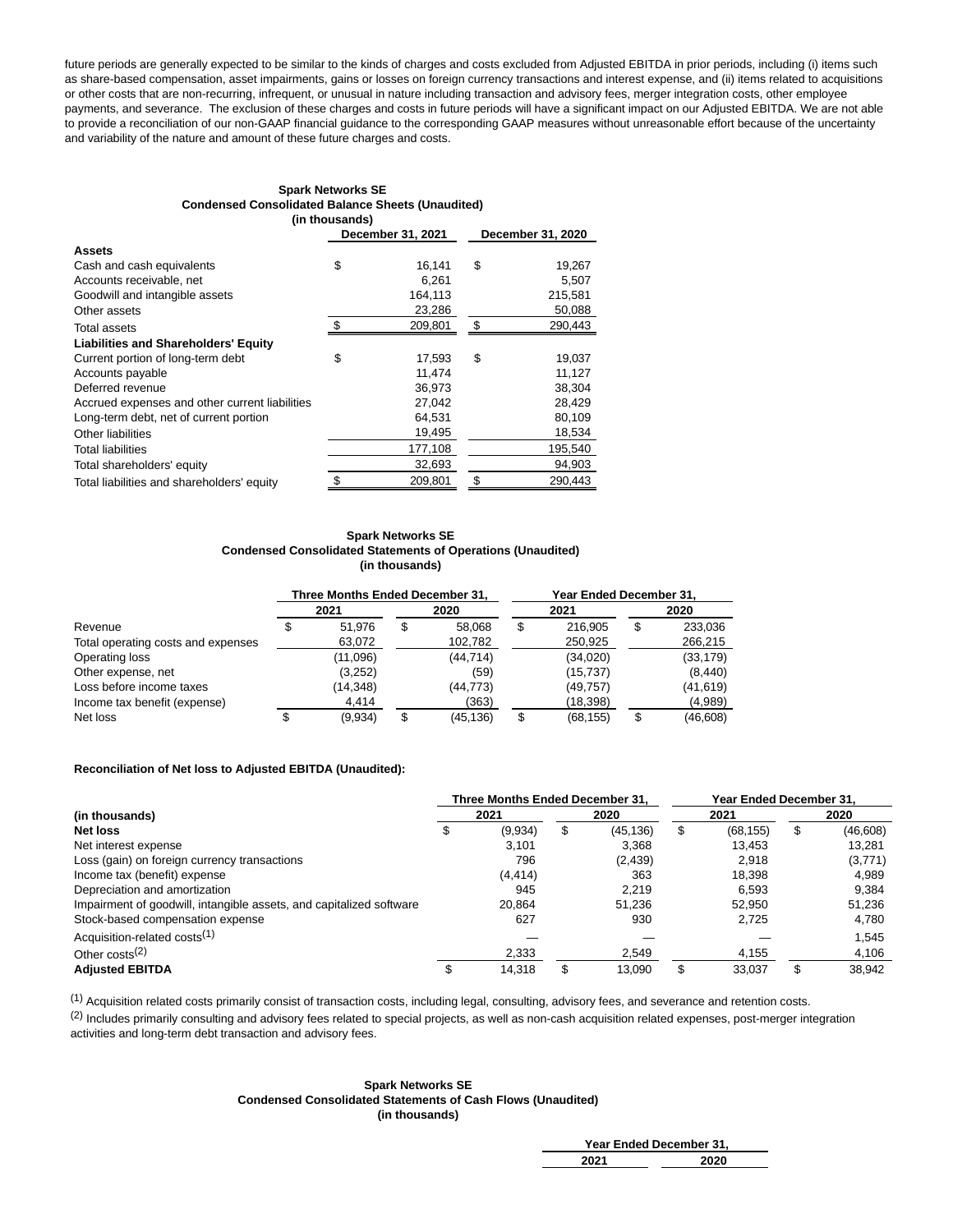future periods are generally expected to be similar to the kinds of charges and costs excluded from Adjusted EBITDA in prior periods, including (i) items such as share-based compensation, asset impairments, gains or losses on foreign currency transactions and interest expense, and (ii) items related to acquisitions or other costs that are non-recurring, infrequent, or unusual in nature including transaction and advisory fees, merger integration costs, other employee payments, and severance. The exclusion of these charges and costs in future periods will have a significant impact on our Adjusted EBITDA. We are not able to provide a reconciliation of our non-GAAP financial guidance to the corresponding GAAP measures without unreasonable effort because of the uncertainty and variability of the nature and amount of these future charges and costs.

#### **Spark Networks SE Condensed Consolidated Balance Sheets (Unaudited) (in thousands)**

| uu urvuouruo,                                  |    |                   |                   |         |  |  |  |  |
|------------------------------------------------|----|-------------------|-------------------|---------|--|--|--|--|
|                                                |    | December 31, 2021 | December 31, 2020 |         |  |  |  |  |
| <b>Assets</b>                                  |    |                   |                   |         |  |  |  |  |
| Cash and cash equivalents                      | \$ | 16,141            | \$                | 19,267  |  |  |  |  |
| Accounts receivable, net                       |    | 6,261             |                   | 5,507   |  |  |  |  |
| Goodwill and intangible assets                 |    | 164.113           |                   | 215,581 |  |  |  |  |
| Other assets                                   |    | 23,286            |                   | 50,088  |  |  |  |  |
| <b>Total assets</b>                            | \$ | 209,801           | \$                | 290,443 |  |  |  |  |
| <b>Liabilities and Shareholders' Equity</b>    |    |                   |                   |         |  |  |  |  |
| Current portion of long-term debt              | \$ | 17,593            | \$                | 19,037  |  |  |  |  |
| Accounts payable                               |    | 11.474            |                   | 11,127  |  |  |  |  |
| Deferred revenue                               |    | 36.973            |                   | 38.304  |  |  |  |  |
| Accrued expenses and other current liabilities |    | 27,042            |                   | 28,429  |  |  |  |  |
| Long-term debt, net of current portion         |    | 64,531            |                   | 80,109  |  |  |  |  |
| Other liabilities                              |    | 19,495            |                   | 18,534  |  |  |  |  |
| <b>Total liabilities</b>                       |    | 177,108           |                   | 195,540 |  |  |  |  |
| Total shareholders' equity                     |    | 32,693            |                   | 94,903  |  |  |  |  |
| Total liabilities and shareholders' equity     | \$ | 209,801           | \$                | 290.443 |  |  |  |  |

## **Spark Networks SE Condensed Consolidated Statements of Operations (Unaudited) (in thousands)**

|                                    | Three Months Ended December 31. |              |    |           | Year Ended December 31. |           |      |           |  |  |
|------------------------------------|---------------------------------|--------------|----|-----------|-------------------------|-----------|------|-----------|--|--|
|                                    |                                 | 2021<br>2020 |    |           |                         | 2021      | 2020 |           |  |  |
| Revenue                            | \$                              | 51.976       | S  | 58.068    | S                       | 216.905   | \$   | 233,036   |  |  |
| Total operating costs and expenses |                                 | 63,072       |    | 102,782   |                         | 250,925   |      | 266,215   |  |  |
| Operating loss                     |                                 | (11,096)     |    | (44, 714) |                         | (34,020)  |      | (33, 179) |  |  |
| Other expense, net                 |                                 | (3,252)      |    | (59)      |                         | (15, 737) |      | (8, 440)  |  |  |
| Loss before income taxes           |                                 | (14,348)     |    | (44, 773) |                         | (49, 757) |      | (41, 619) |  |  |
| Income tax benefit (expense)       |                                 | 4,414        |    | (363)     |                         | (18,398)  |      | (4,989)   |  |  |
| Net loss                           | \$                              | (9,934)      | \$ | (45, 136) | S                       | (68, 155) | \$   | (46, 608) |  |  |

## **Reconciliation of Net loss to Adjusted EBITDA (Unaudited):**

|                                                                     | Three Months Ended December 31. |          |   |           | Year Ended December 31. |           |      |           |
|---------------------------------------------------------------------|---------------------------------|----------|---|-----------|-------------------------|-----------|------|-----------|
| (in thousands)                                                      |                                 | 2021     |   | 2020      | 2021                    |           | 2020 |           |
| Net loss                                                            |                                 | (9,934)  | S | (45, 136) | S                       | (68, 155) | \$   | (46, 608) |
| Net interest expense                                                |                                 | 3.101    |   | 3.368     |                         | 13.453    |      | 13.281    |
| Loss (gain) on foreign currency transactions                        |                                 | 796      |   | (2, 439)  |                         | 2.918     |      | (3,771)   |
| Income tax (benefit) expense                                        |                                 | (4, 414) |   | 363       |                         | 18.398    |      | 4.989     |
| Depreciation and amortization                                       |                                 | 945      |   | 2.219     |                         | 6.593     |      | 9.384     |
| Impairment of goodwill, intangible assets, and capitalized software |                                 | 20.864   |   | 51.236    |                         | 52.950    |      | 51,236    |
| Stock-based compensation expense                                    |                                 | 627      |   | 930       |                         | 2.725     |      | 4,780     |
| Acquisition-related costs <sup>(1)</sup>                            |                                 |          |   |           |                         |           |      | 1,545     |
| Other costs <sup><math>(2)</math></sup>                             |                                 | 2,333    |   | 2.549     |                         | 4,155     |      | 4,106     |
| <b>Adiusted EBITDA</b>                                              |                                 | 14.318   |   | 13.090    | S                       | 33.037    |      | 38.942    |

 $(1)$  Acquisition related costs primarily consist of transaction costs, including legal, consulting, advisory fees, and severance and retention costs.

<sup>(2)</sup> Includes primarily consulting and advisory fees related to special projects, as well as non-cash acquisition related expenses, post-merger integration activities and long-term debt transaction and advisory fees.

l,

#### **Spark Networks SE Condensed Consolidated Statements of Cash Flows (Unaudited) (in thousands)**

| Year Ended December 31, |      |  |  |  |  |
|-------------------------|------|--|--|--|--|
| 2021                    | 2020 |  |  |  |  |